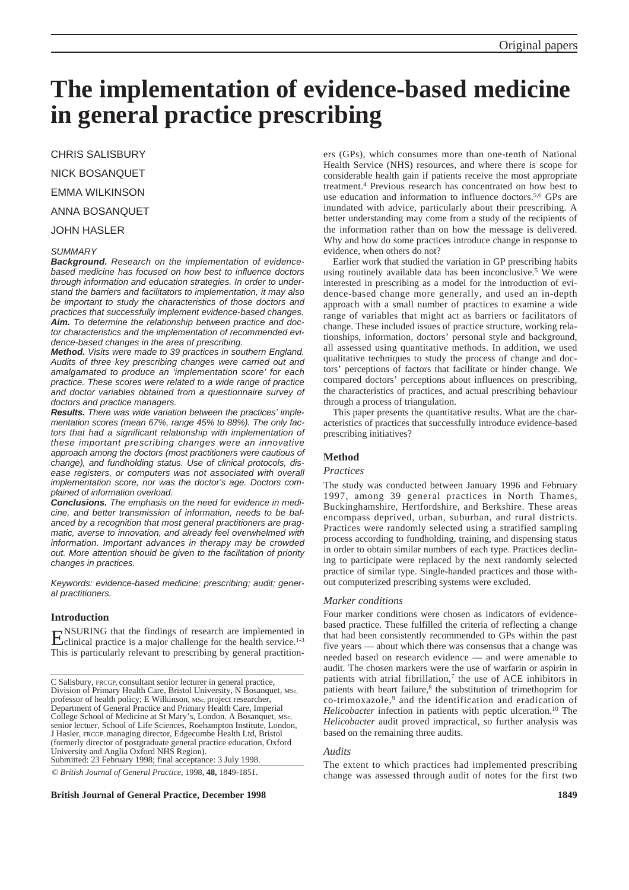# **The implementation of evidence-based medicine in general practice prescribing**

CHRIS SALISBURY

NICK BOSANQUET

EMMA WILKINSON

# ANNA BOSANQUET

JOHN HASLER

#### *SUMMARY*

*Background. Research on the implementation of evidencebased medicine has focused on how best to influence doctors through information and education strategies. In order to understand the barriers and facilitators to implementation, it may also be important to study the characteristics of those doctors and practices that successfully implement evidence-based changes. Aim. To determine the relationship between practice and doctor characteristics and the implementation of recommended evidence-based changes in the area of prescribing.*

*Method. Visits were made to 39 practices in southern England. Audits of three key prescribing changes were carried out and amalgamated to produce an 'implementation score' for each practice. These scores were related to a wide range of practice and doctor variables obtained from a questionnaire survey of doctors and practice managers.*

*Results. There was wide variation between the practices' implementation scores (mean 67%, range 45% to 88%). The only factors that had a significant relationship with implementation of these important prescribing changes were an innovative approach among the doctors (most practitioners were cautious of change), and fundholding status. Use of clinical protocols, disease registers, or computers was not associated with overall implementation score, nor was the doctor's age. Doctors complained of information overload.*

*Conclusions. The emphasis on the need for evidence in medicine, and better transmission of information, needs to be balanced by a recognition that most general practitioners are pragmatic, averse to innovation, and already feel overwhelmed with information. Important advances in therapy may be crowded out. More attention should be given to the facilitation of priority changes in practices.* 

*Keywords: evidence-based medicine; prescribing; audit; general practitioners.*

#### **Introduction**

**ENSURING** that the findings of research are implemented in Eclinical practice is a major challenge for the health service.<sup>1-3</sup> This is particularly relevant to prescribing by general practition-

C Salisbury, FRCGP, consultant senior lecturer in general practice, Division of Primary Health Care, Bristol University, N Bosanquet, MSc, professor of health policy; E Wilkinson, MSc, project researcher, Department of General Practice and Primary Health Care, Imperial College School of Medicine at St Mary's, London. A Bosanquet, MSc, senior lectuer, School of Life Sciences, Roehampton Institute, London, J Hasler, FRCGP, managing director, Edgecumbe Health Ltd, Bristol (formerly director of postgraduate general practice education, Oxford University and Anglia Oxford NHS Region). Submitted: 23 February 1998; final acceptance: 3 July 1998.

© *British Journal of General Practice,* 1998, **48,** 1849-1851.

## **British Journal of General Practice, December 1998 1849**

ers (GPs), which consumes more than one-tenth of National Health Service (NHS) resources, and where there is scope for considerable health gain if patients receive the most appropriate treatment.4 Previous research has concentrated on how best to use education and information to influence doctors.<sup>5,6</sup> GPs are inundated with advice, particularly about their prescribing. A better understanding may come from a study of the recipients of the information rather than on how the message is delivered. Why and how do some practices introduce change in response to evidence, when others do not?

Earlier work that studied the variation in GP prescribing habits using routinely available data has been inconclusive.<sup>5</sup> We were interested in prescribing as a model for the introduction of evidence-based change more generally, and used an in-depth approach with a small number of practices to examine a wide range of variables that might act as barriers or facilitators of change. These included issues of practice structure, working relationships, information, doctors' personal style and background, all assessed using quantitative methods. In addition, we used qualitative techniques to study the process of change and doctors' perceptions of factors that facilitate or hinder change. We compared doctors' perceptions about influences on prescribing, the characteristics of practices, and actual prescribing behaviour through a process of triangulation.

This paper presents the quantitative results. What are the characteristics of practices that successfully introduce evidence-based prescribing initiatives?

#### **Method**

#### *Practices*

The study was conducted between January 1996 and February 1997, among 39 general practices in North Thames, Buckinghamshire, Hertfordshire, and Berkshire. These areas encompass deprived, urban, suburban, and rural districts. Practices were randomly selected using a stratified sampling process according to fundholding, training, and dispensing status in order to obtain similar numbers of each type. Practices declining to participate were replaced by the next randomly selected practice of similar type. Single-handed practices and those without computerized prescribing systems were excluded.

#### *Marker conditions*

Four marker conditions were chosen as indicators of evidencebased practice. These fulfilled the criteria of reflecting a change that had been consistently recommended to GPs within the past five years — about which there was consensus that a change was needed based on research evidence — and were amenable to audit. The chosen markers were the use of warfarin or aspirin in patients with atrial fibrillation, $\overline{7}$  the use of ACE inhibitors in patients with heart failure,<sup>8</sup> the substitution of trimethoprim for co-trimoxazole,9 and the identification and eradication of *Helicobacter* infection in patients with peptic ulceration.<sup>10</sup> The *Helicobacter* audit proved impractical, so further analysis was based on the remaining three audits.

#### *Audits*

The extent to which practices had implemented prescribing change was assessed through audit of notes for the first two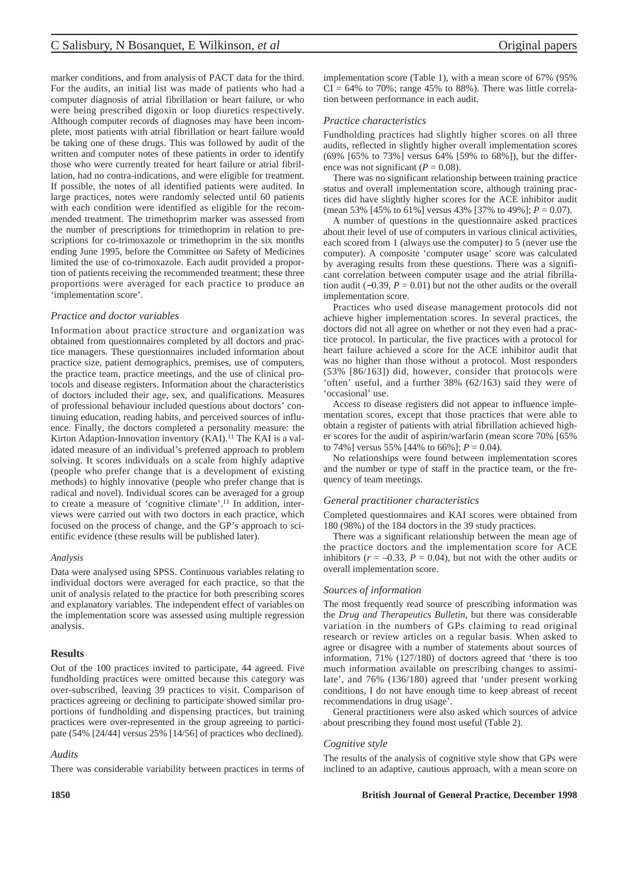marker conditions, and from analysis of PACT data for the third. For the audits, an initial list was made of patients who had a computer diagnosis of atrial fibrillation or heart failure, or who were being prescribed digoxin or loop diuretics respectively. Although computer records of diagnoses may have been incomplete, most patients with atrial fibrillation or heart failure would be taking one of these drugs. This was followed by audit of the written and computer notes of these patients in order to identify those who were currently treated for heart failure or atrial fibrillation, had no contra-indications, and were eligible for treatment. If possible, the notes of all identified patients were audited. In large practices, notes were randomly selected until 60 patients with each condition were identified as eligible for the recommended treatment. The trimethoprim marker was assessed from the number of prescriptions for trimethoprim in relation to prescriptions for co-trimoxazole or trimethoprim in the six months ending June 1995, before the Committee on Safety of Medicines limited the use of co-trimoxazole. Each audit provided a proportion of patients receiving the recommended treatment; these three proportions were averaged for each practice to produce an 'implementation score'.

# *Practice and doctor variables*

Information about practice structure and organization was obtained from questionnaires completed by all doctors and practice managers. These questionnaires included information about practice size, patient demographics, premises, use of computers, the practice team, practice meetings, and the use of clinical protocols and disease registers. Information about the characteristics of doctors included their age, sex, and qualifications. Measures of professional behaviour included questions about doctors' continuing education, reading habits, and perceived sources of influence. Finally, the doctors completed a personality measure: the Kirton Adaption-Innovation inventory (KAI).<sup>11</sup> The KAI is a validated measure of an individual's preferred approach to problem solving. It scores individuals on a scale from highly adaptive (people who prefer change that is a development of existing methods) to highly innovative (people who prefer change that is radical and novel). Individual scores can be averaged for a group to create a measure of 'cognitive climate'.11 In addition, interviews were carried out with two doctors in each practice, which focused on the process of change, and the GP's approach to scientific evidence (these results will be published later).

## *Analysis*

Data were analysed using SPSS. Continuous variables relating to individual doctors were averaged for each practice, so that the unit of analysis related to the practice for both prescribing scores and explanatory variables. The independent effect of variables on the implementation score was assessed using multiple regression analysis.

## **Results**

Out of the 100 practices invited to participate, 44 agreed. Five fundholding practices were omitted because this category was over-subscribed, leaving 39 practices to visit. Comparison of practices agreeing or declining to participate showed similar proportions of fundholding and dispensing practices, but training practices were over-represented in the group agreeing to participate (54% [24/44] versus 25% [14/56] of practices who declined).

## *Audits*

There was considerable variability between practices in terms of

implementation score (Table 1), with a mean score of 67% (95%  $CI = 64\%$  to 70%; range 45% to 88%). There was little correlation between performance in each audit.

# *Practice characteristics*

Fundholding practices had slightly higher scores on all three audits, reflected in slightly higher overall implementation scores (69% [65% to 73%] versus 64% [59% to 68%]), but the difference was not significant ( $P = 0.08$ ).

There was no significant relationship between training practice status and overall implementation score, although training practices did have slightly higher scores for the ACE inhibitor audit (mean 53% [45% to 61%] versus 43% [37% to 49%]; *P* = 0.07).

A number of questions in the questionnaire asked practices about their level of use of computers in various clinical activities, each scored from 1 (always use the computer) to 5 (never use the computer). A composite 'computer usage' score was calculated by averaging results from these questions. There was a significant correlation between computer usage and the atrial fibrillation audit ( $-0.39$ ,  $P = 0.01$ ) but not the other audits or the overall implementation score.

Practices who used disease management protocols did not achieve higher implementation scores. In several practices, the doctors did not all agree on whether or not they even had a practice protocol. In particular, the five practices with a protocol for heart failure achieved a score for the ACE inhibitor audit that was no higher than those without a protocol. Most responders (53% [86/163]) did, however, consider that protocols were 'often' useful, and a further 38% (62/163) said they were of 'occasional' use.

Access to disease registers did not appear to influence implementation scores, except that those practices that were able to obtain a register of patients with atrial fibrillation achieved higher scores for the audit of aspirin/warfarin (mean score 70% [65% to 74%] versus 55% [44% to 66%];  $P = 0.04$ ).

No relationships were found between implementation scores and the number or type of staff in the practice team, or the frequency of team meetings.

## *General practitioner characteristics*

Completed questionnaires and KAI scores were obtained from 180 (98%) of the 184 doctors in the 39 study practices.

There was a significant relationship between the mean age of the practice doctors and the implementation score for ACE inhibitors ( $r = -0.33$ ,  $P = 0.04$ ), but not with the other audits or overall implementation score.

## *Sources of information*

The most frequently read source of prescribing information was the *Drug and Therapeutics Bulletin*, but there was considerable variation in the numbers of GPs claiming to read original research or review articles on a regular basis. When asked to agree or disagree with a number of statements about sources of information, 71% (127/180) of doctors agreed that 'there is too much information available on prescribing changes to assimilate', and 76% (136/180) agreed that 'under present working conditions, I do not have enough time to keep abreast of recent recommendations in drug usage'.

General practitioners were also asked which sources of advice about prescribing they found most useful (Table 2).

## *Cognitive style*

The results of the analysis of cognitive style show that GPs were inclined to an adaptive, cautious approach, with a mean score on

## **1850 British Journal of General Practice, December 1998**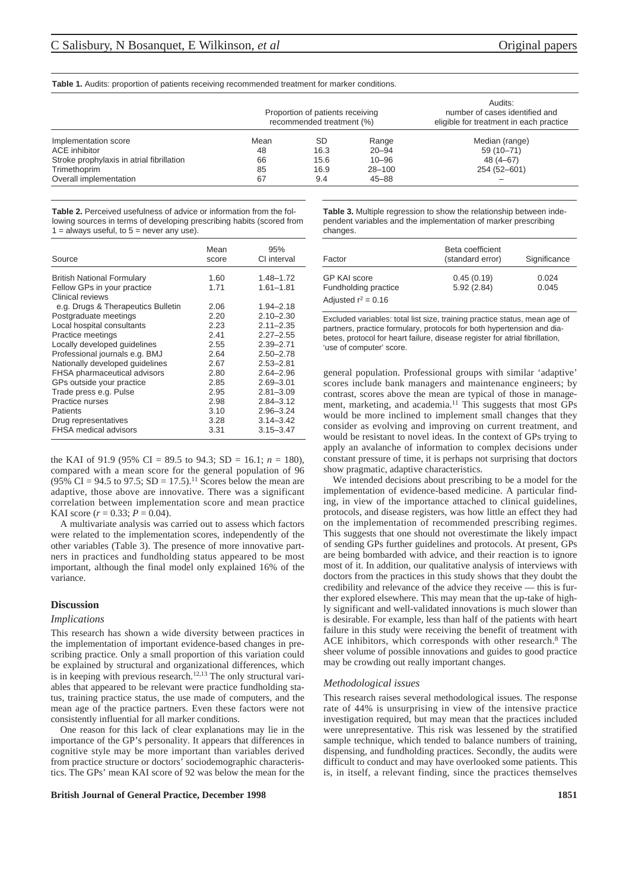#### **Table 1.** Audits: proportion of patients receiving recommended treatment for marker conditions.

|                                           | Proportion of patients receiving<br>recommended treatment (%) |           |            | Audits:<br>number of cases identified and<br>eligible for treatment in each practice |
|-------------------------------------------|---------------------------------------------------------------|-----------|------------|--------------------------------------------------------------------------------------|
| Implementation score                      | Mean                                                          | <b>SD</b> | Range      | Median (range)                                                                       |
| ACE inhibitor                             | 48                                                            | 16.3      | $20 - 94$  | 59 (10-71)                                                                           |
| Stroke prophylaxis in atrial fibrillation | 66                                                            | 15.6      | $10 - 96$  | $48(4 - 67)$                                                                         |
| Trimethoprim                              | 85                                                            | 16.9      | $28 - 100$ | 254 (52-601)                                                                         |
| Overall implementation                    | 67                                                            | 9.4       | $45 - 88$  |                                                                                      |

**Table 2.** Perceived usefulness of advice or information from the following sources in terms of developing prescribing habits (scored from  $1 =$  always useful, to  $5 =$  never any use).

| Source                             | Mean<br>score | 95%<br>CI interval |
|------------------------------------|---------------|--------------------|
| <b>British National Formulary</b>  | 1.60          | $1.48 - 1.72$      |
| Fellow GPs in your practice        | 1.71          | $1.61 - 1.81$      |
| Clinical reviews                   |               |                    |
| e.g. Drugs & Therapeutics Bulletin | 2.06          | $1.94 - 2.18$      |
| Postgraduate meetings              | 2.20          | $2.10 - 2.30$      |
| Local hospital consultants         | 2.23          | $2.11 - 2.35$      |
| Practice meetings                  | 2.41          | $2.27 - 2.55$      |
| Locally developed guidelines       | 2.55          | $2.39 - 2.71$      |
| Professional journals e.g. BMJ     | 2.64          | $2.50 - 2.78$      |
| Nationally developed quidelines    | 2.67          | $2.53 - 2.81$      |
| FHSA pharmaceutical advisors       | 2.80          | $2.64 - 2.96$      |
| GPs outside your practice          | 2.85          | $2.69 - 3.01$      |
| Trade press e.g. Pulse             | 2.95          | $2.81 - 3.09$      |
| Practice nurses                    | 2.98          | $2.84 - 3.12$      |
| Patients                           | 3.10          | $2.96 - 3.24$      |
| Drug representatives               | 3.28          | $3.14 - 3.42$      |
| FHSA medical advisors              | 3.31          | $3.15 - 3.47$      |

the KAI of 91.9 (95% CI = 89.5 to 94.3; SD = 16.1;  $n = 180$ ), compared with a mean score for the general population of 96  $(95\% \text{ CI} = 94.5 \text{ to } 97.5; SD = 17.5).$ <sup>11</sup> Scores below the mean are adaptive, those above are innovative. There was a significant correlation between implementation score and mean practice KAI score  $(r = 0.33; P = 0.04)$ .

A multivariate analysis was carried out to assess which factors were related to the implementation scores, independently of the other variables (Table 3). The presence of more innovative partners in practices and fundholding status appeared to be most important, although the final model only explained 16% of the variance.

#### **Discussion**

#### *Implications*

This research has shown a wide diversity between practices in the implementation of important evidence-based changes in prescribing practice. Only a small proportion of this variation could be explained by structural and organizational differences, which is in keeping with previous research.<sup>12,13</sup> The only structural variables that appeared to be relevant were practice fundholding status, training practice status, the use made of computers, and the mean age of the practice partners. Even these factors were not consistently influential for all marker conditions.

One reason for this lack of clear explanations may lie in the importance of the GP's personality. It appears that differences in cognitive style may be more important than variables derived from practice structure or doctors' sociodemographic characteristics. The GPs' mean KAI score of 92 was below the mean for the

#### **British Journal of General Practice, December 1998** 1851

**Table 3.** Multiple regression to show the relationship between independent variables and the implementation of marker prescribing changes.

| Factor                               | Beta coefficient<br>(standard error) | Significance   |
|--------------------------------------|--------------------------------------|----------------|
| GP KAI score<br>Fundholding practice | 0.45(0.19)<br>5.92(2.84)             | 0.024<br>0.045 |
| Adjusted $r^2$ = 0.16                |                                      |                |

Excluded variables: total list size, training practice status, mean age of partners, practice formulary, protocols for both hypertension and diabetes, protocol for heart failure, disease register for atrial fibrillation, 'use of computer' score.

general population. Professional groups with similar 'adaptive' scores include bank managers and maintenance engineers; by contrast, scores above the mean are typical of those in management, marketing, and academia.<sup>11</sup> This suggests that most GPs would be more inclined to implement small changes that they consider as evolving and improving on current treatment, and would be resistant to novel ideas. In the context of GPs trying to apply an avalanche of information to complex decisions under constant pressure of time, it is perhaps not surprising that doctors show pragmatic, adaptive characteristics.

We intended decisions about prescribing to be a model for the implementation of evidence-based medicine. A particular finding, in view of the importance attached to clinical guidelines, protocols, and disease registers, was how little an effect they had on the implementation of recommended prescribing regimes. This suggests that one should not overestimate the likely impact of sending GPs further guidelines and protocols. At present, GPs are being bombarded with advice, and their reaction is to ignore most of it. In addition, our qualitative analysis of interviews with doctors from the practices in this study shows that they doubt the credibility and relevance of the advice they receive — this is further explored elsewhere. This may mean that the up-take of highly significant and well-validated innovations is much slower than is desirable. For example, less than half of the patients with heart failure in this study were receiving the benefit of treatment with ACE inhibitors, which corresponds with other research.<sup>8</sup> The sheer volume of possible innovations and guides to good practice may be crowding out really important changes.

#### *Methodological issues*

This research raises several methodological issues. The response rate of 44% is unsurprising in view of the intensive practice investigation required, but may mean that the practices included were unrepresentative. This risk was lessened by the stratified sample technique, which tended to balance numbers of training, dispensing, and fundholding practices. Secondly, the audits were difficult to conduct and may have overlooked some patients. This is, in itself, a relevant finding, since the practices themselves